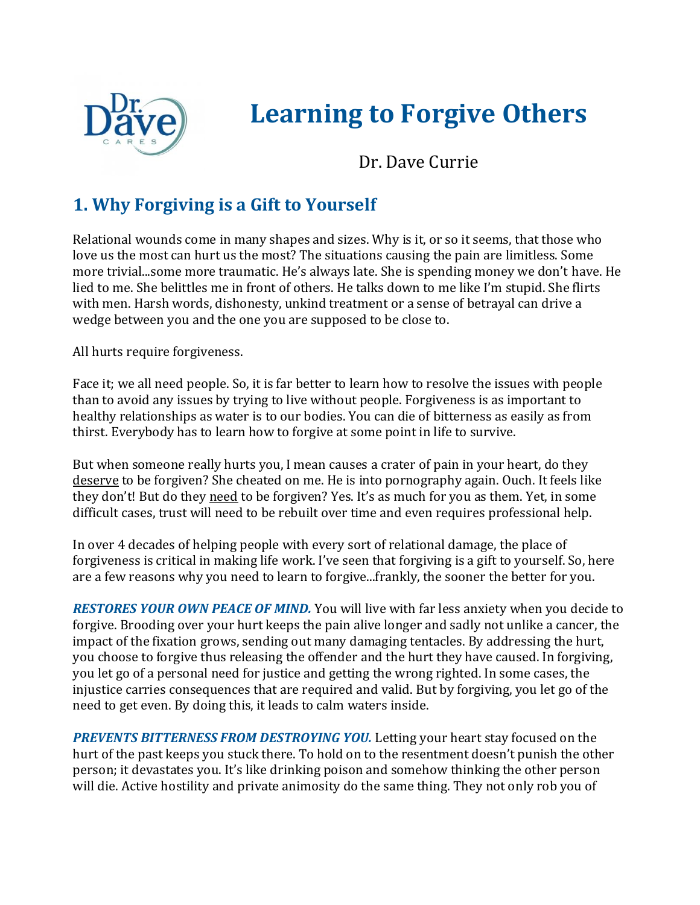

## **Learning to Forgive Others**

Dr. Dave Currie

## **1. Why Forgiving is a Gift to Yourself**

Relational wounds come in many shapes and sizes. Why is it, or so it seems, that those who love us the most can hurt us the most? The situations causing the pain are limitless. Some more trivial...some more traumatic. He's always late. She is spending money we don't have. He lied to me. She belittles me in front of others. He talks down to me like I'm stupid. She flirts with men. Harsh words, dishonesty, unkind treatment or a sense of betrayal can drive a wedge between you and the one you are supposed to be close to.

All hurts require forgiveness.

Face it; we all need people. So, it is far better to learn how to resolve the issues with people than to avoid any issues by trying to live without people. Forgiveness is as important to healthy relationships as water is to our bodies. You can die of bitterness as easily as from thirst. Everybody has to learn how to forgive at some point in life to survive.

But when someone really hurts you, I mean causes a crater of pain in your heart, do they deserve to be forgiven? She cheated on me. He is into pornography again. Ouch. It feels like they don't! But do they need to be forgiven? Yes. It's as much for you as them. Yet, in some difficult cases, trust will need to be rebuilt over time and even requires professional help.

In over 4 decades of helping people with every sort of relational damage, the place of forgiveness is critical in making life work. I've seen that forgiving is a gift to yourself. So, here are a few reasons why you need to learn to forgive...frankly, the sooner the better for you.

*RESTORES YOUR OWN PEACE OF MIND.* You will live with far less anxiety when you decide to forgive. Brooding over your hurt keeps the pain alive longer and sadly not unlike a cancer, the impact of the fixation grows, sending out many damaging tentacles. By addressing the hurt, you choose to forgive thus releasing the offender and the hurt they have caused. In forgiving, you let go of a personal need for justice and getting the wrong righted. In some cases, the injustice carries consequences that are required and valid. But by forgiving, you let go of the need to get even. By doing this, it leads to calm waters inside.

*PREVENTS BITTERNESS FROM DESTROYING YOU.* Letting your heart stay focused on the hurt of the past keeps you stuck there. To hold on to the resentment doesn't punish the other person; it devastates you. It's like drinking poison and somehow thinking the other person will die. Active hostility and private animosity do the same thing. They not only rob you of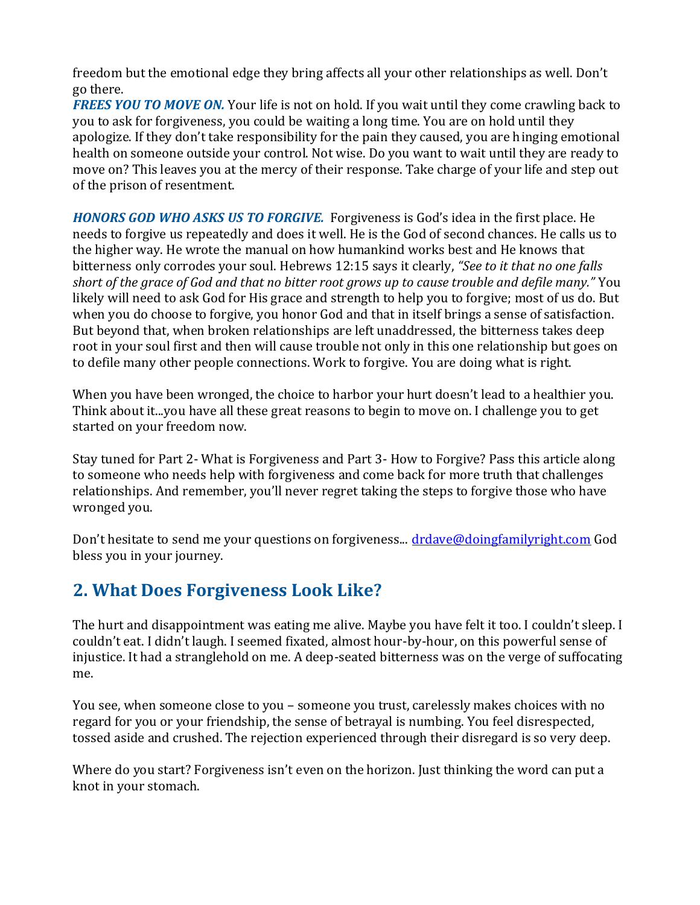freedom but the emotional edge they bring affects all your other relationships as well. Don't go there.

**FREES YOU TO MOVE ON.** Your life is not on hold. If you wait until they come crawling back to you to ask for forgiveness, you could be waiting a long time. You are on hold until they apologize. If they don't take responsibility for the pain they caused, you are hinging emotional health on someone outside your control. Not wise. Do you want to wait until they are ready to move on? This leaves you at the mercy of their response. Take charge of your life and step out of the prison of resentment.

*HONORS GOD WHO ASKS US TO FORGIVE.* Forgiveness is God's idea in the first place. He needs to forgive us repeatedly and does it well. He is the God of second chances. He calls us to the higher way. He wrote the manual on how humankind works best and He knows that bitterness only corrodes your soul. Hebrews 12:15 says it clearly, *"See to it that no one falls short of the grace of God and that no bitter root grows up to cause trouble and defile many."* You likely will need to ask God for His grace and strength to help you to forgive; most of us do. But when you do choose to forgive, you honor God and that in itself brings a sense of satisfaction. But beyond that, when broken relationships are left unaddressed, the bitterness takes deep root in your soul first and then will cause trouble not only in this one relationship but goes on to defile many other people connections. Work to forgive. You are doing what is right.

When you have been wronged, the choice to harbor your hurt doesn't lead to a healthier you. Think about it...you have all these great reasons to begin to move on. I challenge you to get started on your freedom now.

Stay tuned for Part 2- What is Forgiveness and Part 3- How to Forgive? Pass this article along to someone who needs help with forgiveness and come back for more truth that challenges relationships. And remember, you'll never regret taking the steps to forgive those who have wronged you.

Don't hesitate to send me your questions on forgiveness... [drdave@doingfamilyright.com](mailto:drdave@doingfamilyright.com) God bless you in your journey.

## **2. What Does Forgiveness Look Like?**

The hurt and disappointment was eating me alive. Maybe you have felt it too. I couldn't sleep. I couldn't eat. I didn't laugh. I seemed fixated, almost hour-by-hour, on this powerful sense of injustice. It had a stranglehold on me. A deep-seated bitterness was on the verge of suffocating me.

You see, when someone close to you – someone you trust, carelessly makes choices with no regard for you or your friendship, the sense of betrayal is numbing. You feel disrespected, tossed aside and crushed. The rejection experienced through their disregard is so very deep.

Where do you start? Forgiveness isn't even on the horizon. Just thinking the word can put a knot in your stomach.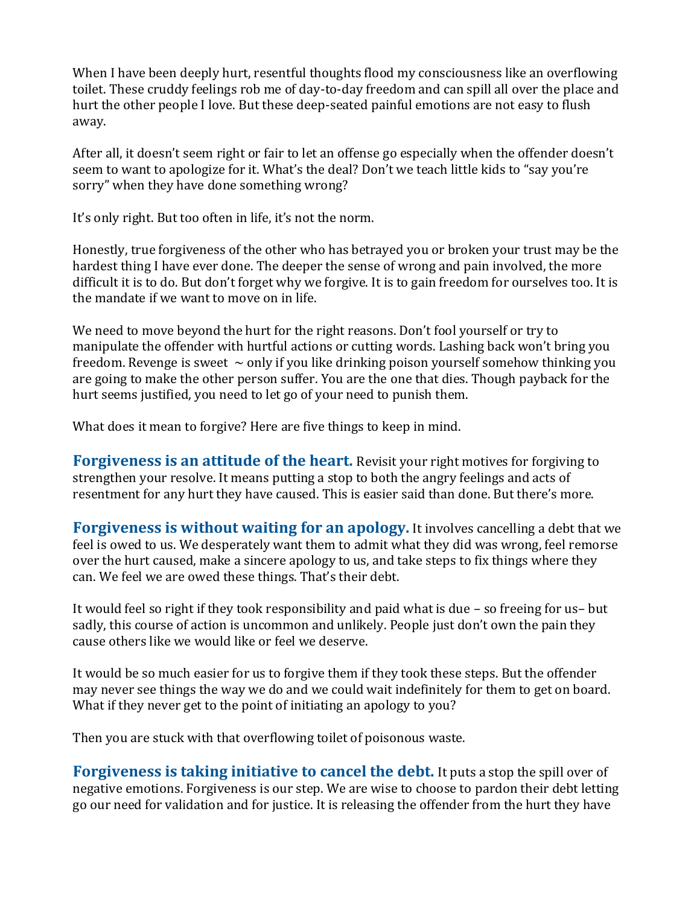When I have been deeply hurt, resentful thoughts flood my consciousness like an overflowing toilet. These cruddy feelings rob me of day-to-day freedom and can spill all over the place and hurt the other people I love. But these deep-seated painful emotions are not easy to flush away.

After all, it doesn't seem right or fair to let an offense go especially when the offender doesn't seem to want to apologize for it. What's the deal? Don't we teach little kids to "say you're sorry" when they have done something wrong?

It's only right. But too often in life, it's not the norm.

Honestly, true forgiveness of the other who has betrayed you or broken your trust may be the hardest thing I have ever done. The deeper the sense of wrong and pain involved, the more difficult it is to do. But don't forget why we forgive. It is to gain freedom for ourselves too. It is the mandate if we want to move on in life.

We need to move beyond the hurt for the right reasons. Don't fool yourself or try to manipulate the offender with hurtful actions or cutting words. Lashing back won't bring you freedom. Revenge is sweet  $\sim$  only if you like drinking poison yourself somehow thinking you are going to make the other person suffer. You are the one that dies. Though payback for the hurt seems justified, you need to let go of your need to punish them.

What does it mean to forgive? Here are five things to keep in mind.

**Forgiveness is an attitude of the heart.** Revisit your right motives for forgiving to strengthen your resolve. It means putting a stop to both the angry feelings and acts of resentment for any hurt they have caused. This is easier said than done. But there's more.

**Forgiveness is without waiting for an apology.** It involves cancelling a debt that we feel is owed to us. We desperately want them to admit what they did was wrong, feel remorse over the hurt caused, make a sincere apology to us, and take steps to fix things where they can. We feel we are owed these things. That's their debt.

It would feel so right if they took responsibility and paid what is due – so freeing for us– but sadly, this course of action is uncommon and unlikely. People just don't own the pain they cause others like we would like or feel we deserve.

It would be so much easier for us to forgive them if they took these steps. But the offender may never see things the way we do and we could wait indefinitely for them to get on board. What if they never get to the point of initiating an apology to you?

Then you are stuck with that overflowing toilet of poisonous waste.

**Forgiveness is taking initiative to cancel the debt.** It puts a stop the spill over of negative emotions. Forgiveness is our step. We are wise to choose to pardon their debt letting go our need for validation and for justice. It is releasing the offender from the hurt they have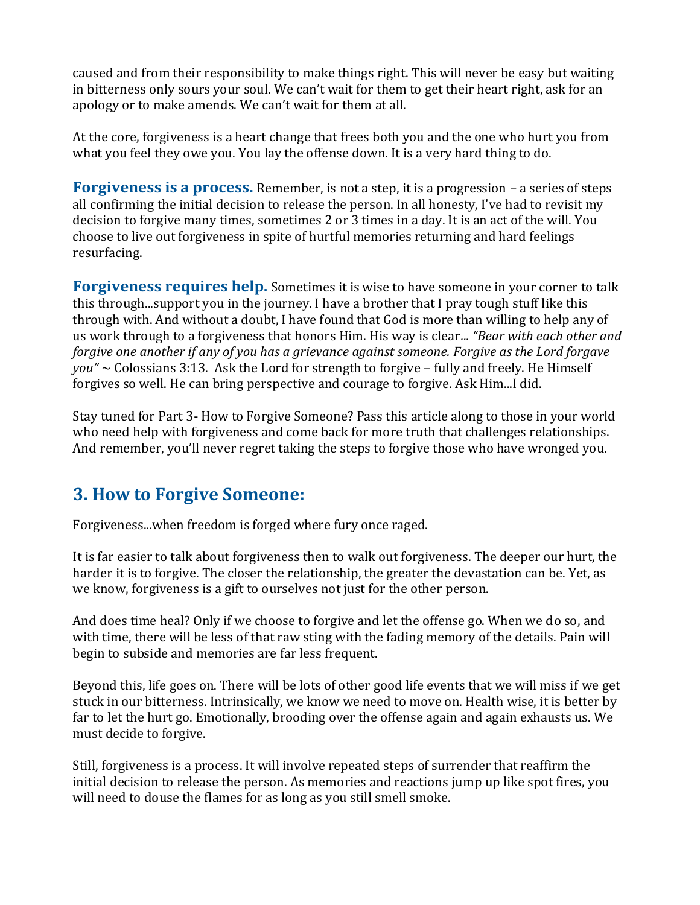caused and from their responsibility to make things right. This will never be easy but waiting in bitterness only sours your soul. We can't wait for them to get their heart right, ask for an apology or to make amends. We can't wait for them at all.

At the core, forgiveness is a heart change that frees both you and the one who hurt you from what you feel they owe you. You lay the offense down. It is a very hard thing to do.

**Forgiveness is a process.** Remember, is not a step, it is a progression – a series of steps all confirming the initial decision to release the person. In all honesty, I've had to revisit my decision to forgive many times, sometimes 2 or 3 times in a day. It is an act of the will. You choose to live out forgiveness in spite of hurtful memories returning and hard feelings resurfacing.

**Forgiveness requires help.** Sometimes it is wise to have someone in your corner to talk this through...support you in the journey. I have a brother that I pray tough stuff like this through with. And without a doubt, I have found that God is more than willing to help any of us work through to a forgiveness that honors Him. His way is clear*... "Bear with each other and forgive one another if any of you has a grievance against someone. Forgive as the Lord forgave you"* ~ Colossians 3:13. Ask the Lord for strength to forgive – fully and freely. He Himself forgives so well. He can bring perspective and courage to forgive. Ask Him...I did.

Stay tuned for Part 3- How to Forgive Someone? Pass this article along to those in your world who need help with forgiveness and come back for more truth that challenges relationships. And remember, you'll never regret taking the steps to forgive those who have wronged you.

## **3. How to Forgive Someone:**

Forgiveness...when freedom is forged where fury once raged.

It is far easier to talk about forgiveness then to walk out forgiveness. The deeper our hurt, the harder it is to forgive. The closer the relationship, the greater the devastation can be. Yet, as we know, forgiveness is a gift to ourselves not just for the other person.

And does time heal? Only if we choose to forgive and let the offense go. When we do so, and with time, there will be less of that raw sting with the fading memory of the details. Pain will begin to subside and memories are far less frequent.

Beyond this, life goes on. There will be lots of other good life events that we will miss if we get stuck in our bitterness. Intrinsically, we know we need to move on. Health wise, it is better by far to let the hurt go. Emotionally, brooding over the offense again and again exhausts us. We must decide to forgive.

Still, forgiveness is a process. It will involve repeated steps of surrender that reaffirm the initial decision to release the person. As memories and reactions jump up like spot fires, you will need to douse the flames for as long as you still smell smoke.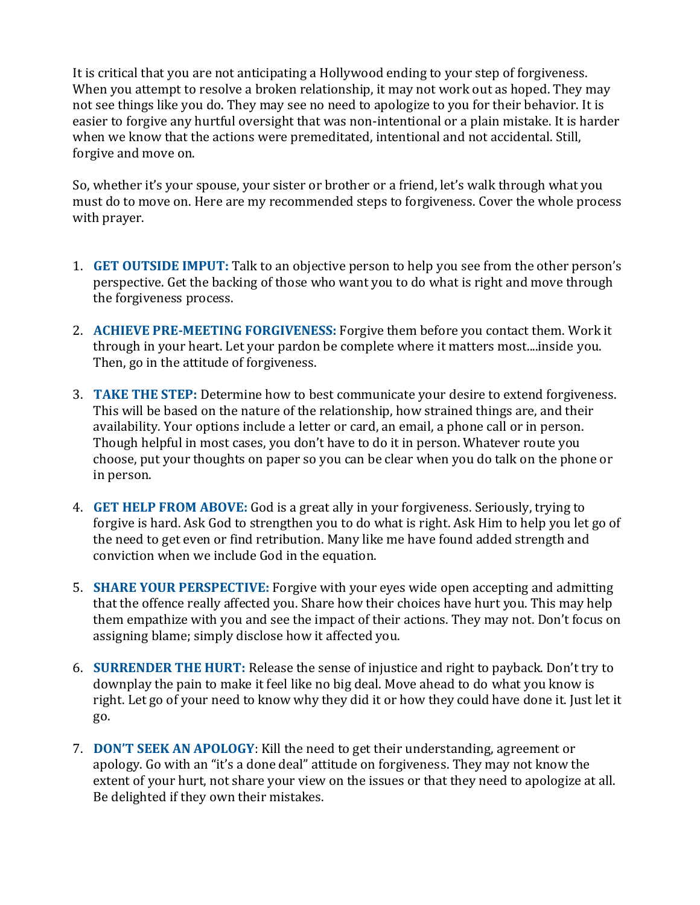It is critical that you are not anticipating a Hollywood ending to your step of forgiveness. When you attempt to resolve a broken relationship, it may not work out as hoped. They may not see things like you do. They may see no need to apologize to you for their behavior. It is easier to forgive any hurtful oversight that was non-intentional or a plain mistake. It is harder when we know that the actions were premeditated, intentional and not accidental. Still, forgive and move on.

So, whether it's your spouse, your sister or brother or a friend, let's walk through what you must do to move on. Here are my recommended steps to forgiveness. Cover the whole process with prayer.

- 1. **GET OUTSIDE IMPUT:** Talk to an objective person to help you see from the other person's perspective. Get the backing of those who want you to do what is right and move through the forgiveness process.
- 2. **ACHIEVE PRE-MEETING FORGIVENESS:** Forgive them before you contact them. Work it through in your heart. Let your pardon be complete where it matters most....inside you. Then, go in the attitude of forgiveness.
- 3. **TAKE THE STEP:** Determine how to best communicate your desire to extend forgiveness. This will be based on the nature of the relationship, how strained things are, and their availability. Your options include a letter or card, an email, a phone call or in person. Though helpful in most cases, you don't have to do it in person. Whatever route you choose, put your thoughts on paper so you can be clear when you do talk on the phone or in person.
- 4. **GET HELP FROM ABOVE:** God is a great ally in your forgiveness. Seriously, trying to forgive is hard. Ask God to strengthen you to do what is right. Ask Him to help you let go of the need to get even or find retribution. Many like me have found added strength and conviction when we include God in the equation.
- 5. **SHARE YOUR PERSPECTIVE:** Forgive with your eyes wide open accepting and admitting that the offence really affected you. Share how their choices have hurt you. This may help them empathize with you and see the impact of their actions. They may not. Don't focus on assigning blame; simply disclose how it affected you.
- 6. **SURRENDER THE HURT:** Release the sense of injustice and right to payback. Don't try to downplay the pain to make it feel like no big deal. Move ahead to do what you know is right. Let go of your need to know why they did it or how they could have done it. Just let it go.
- 7. **DON'T SEEK AN APOLOGY**: Kill the need to get their understanding, agreement or apology. Go with an "it's a done deal" attitude on forgiveness. They may not know the extent of your hurt, not share your view on the issues or that they need to apologize at all. Be delighted if they own their mistakes.